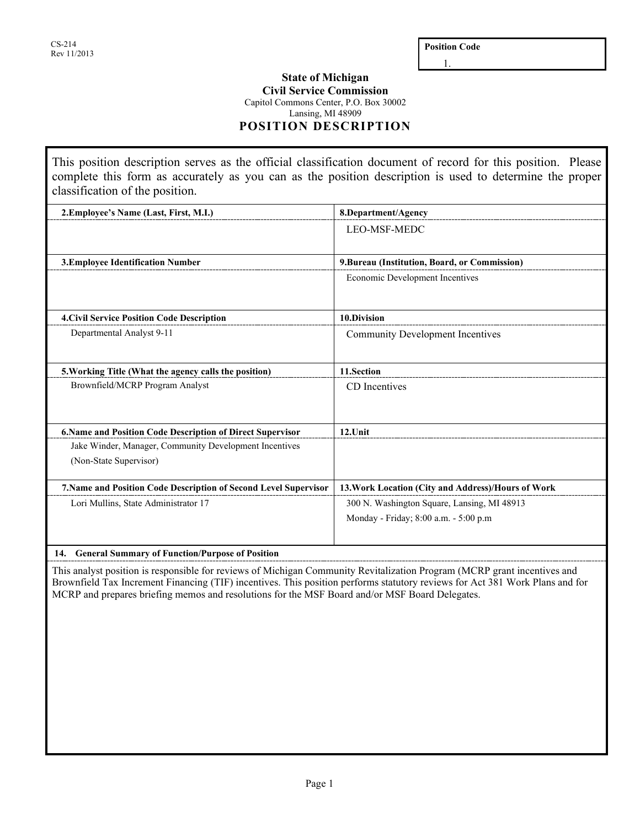**Position Code**

1.

# **State of Michigan Civil Service Commission**

Capitol Commons Center, P.O. Box 30002

Lansing, MI 48909

**POSITION DESCRIPTION**

This position description serves as the official classification document of record for this position. Please complete this form as accurately as you can as the position description is used to determine the proper classification of the position.

| 2. Employee's Name (Last, First, M.I.)                           | 8.Department/Agency                                |
|------------------------------------------------------------------|----------------------------------------------------|
|                                                                  | <b>LEO-MSF-MEDC</b>                                |
| 3. Employee Identification Number                                | 9. Bureau (Institution, Board, or Commission)      |
|                                                                  |                                                    |
|                                                                  | Economic Development Incentives                    |
| <b>4. Civil Service Position Code Description</b>                | 10.Division                                        |
| Departmental Analyst 9-11                                        | <b>Community Development Incentives</b>            |
| 5. Working Title (What the agency calls the position)            | 11.Section                                         |
| Brownfield/MCRP Program Analyst                                  | CD Incentives                                      |
| 6. Name and Position Code Description of Direct Supervisor       | $12.U$ nit                                         |
| Jake Winder, Manager, Community Development Incentives           |                                                    |
| (Non-State Supervisor)                                           |                                                    |
| 7. Name and Position Code Description of Second Level Supervisor | 13. Work Location (City and Address)/Hours of Work |
| Lori Mullins, State Administrator 17                             | 300 N. Washington Square, Lansing, MI 48913        |
|                                                                  | Monday - Friday; 8:00 a.m. - 5:00 p.m              |
| 14. General Summary of Function/Purpose of Position              |                                                    |

This analyst position is responsible for reviews of Michigan Community Revitalization Program (MCRP grant incentives and Brownfield Tax Increment Financing (TIF) incentives. This position performs statutory reviews for Act 381 Work Plans and for MCRP and prepares briefing memos and resolutions for the MSF Board and/or MSF Board Delegates.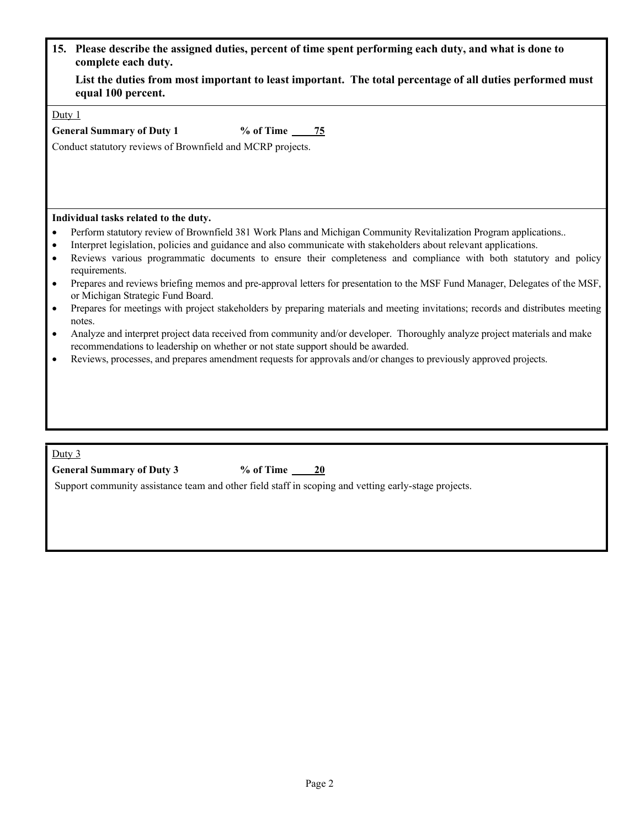| 15. Please describe the assigned duties, percent of time spent performing each duty, and what is done to |  |  |
|----------------------------------------------------------------------------------------------------------|--|--|
| complete each duty.                                                                                      |  |  |

 **List the duties from most important to least important. The total percentage of all duties performed must equal 100 percent.**

Duty<sub>1</sub>

| <b>General Summary of Duty 1</b> | % of Time | 75 |
|----------------------------------|-----------|----|
|----------------------------------|-----------|----|

Conduct statutory reviews of Brownfield and MCRP projects.

## **Individual tasks related to the duty.**

- Perform statutory review of Brownfield 381 Work Plans and Michigan Community Revitalization Program applications..
- Interpret legislation, policies and guidance and also communicate with stakeholders about relevant applications.
- Reviews various programmatic documents to ensure their completeness and compliance with both statutory and policy requirements.
- Prepares and reviews briefing memos and pre-approval letters for presentation to the MSF Fund Manager, Delegates of the MSF, or Michigan Strategic Fund Board.
- Prepares for meetings with project stakeholders by preparing materials and meeting invitations; records and distributes meeting notes.
- Analyze and interpret project data received from community and/or developer. Thoroughly analyze project materials and make recommendations to leadership on whether or not state support should be awarded.
- Reviews, processes, and prepares amendment requests for approvals and/or changes to previously approved projects.

Duty 3

General Summary of Duty 3 % of Time 20

Support community assistance team and other field staff in scoping and vetting early-stage projects.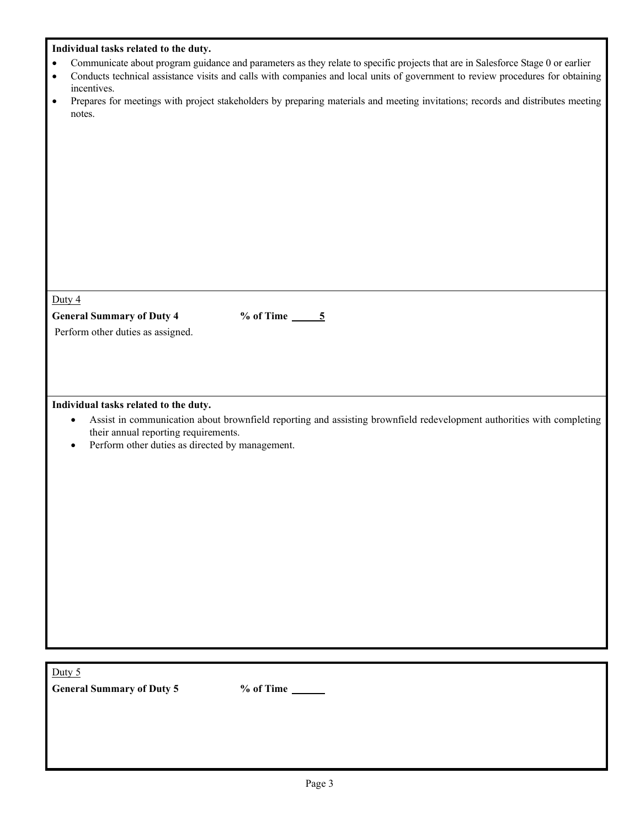## **Individual tasks related to the duty.**

- Communicate about program guidance and parameters as they relate to specific projects that are in Salesforce Stage 0 or earlier
- Conducts technical assistance visits and calls with companies and local units of government to review procedures for obtaining incentives.
- Prepares for meetings with project stakeholders by preparing materials and meeting invitations; records and distributes meeting notes.

Duty 4

General Summary of Duty 4  $\%$  of Time  $\frac{5}{5}$ 

Perform other duties as assigned.

## **Individual tasks related to the duty.**

- Assist in communication about brownfield reporting and assisting brownfield redevelopment authorities with completing their annual reporting requirements.
- Perform other duties as directed by management.

Duty 5

**General Summary of Duty 5 % of Time**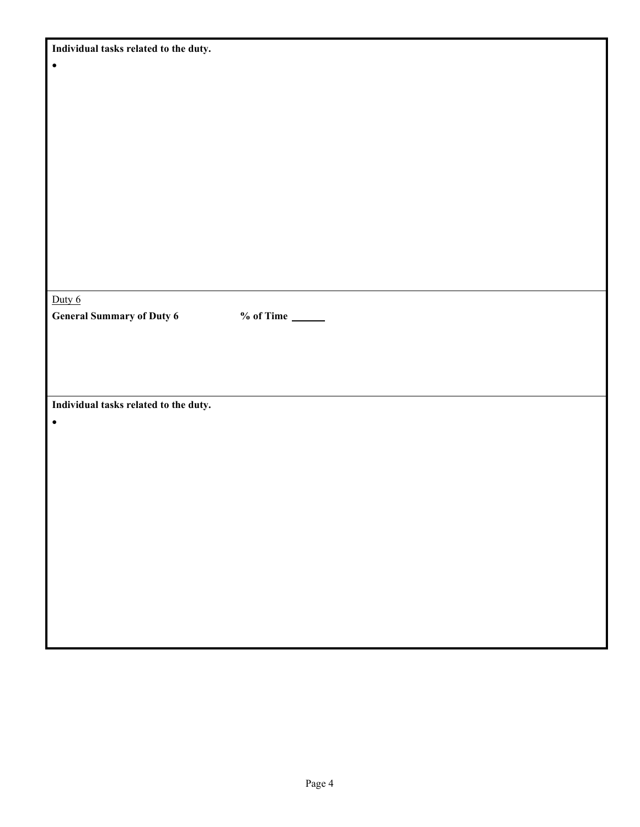| Individual tasks related to the duty. |                                 |
|---------------------------------------|---------------------------------|
| $\bullet$                             |                                 |
|                                       |                                 |
|                                       |                                 |
|                                       |                                 |
|                                       |                                 |
|                                       |                                 |
|                                       |                                 |
|                                       |                                 |
|                                       |                                 |
|                                       |                                 |
|                                       |                                 |
|                                       |                                 |
|                                       |                                 |
|                                       |                                 |
| Duty 6                                |                                 |
| <b>General Summary of Duty 6</b>      | $%$ of Time $\_\_\_\_\_\_\_\_\$ |
|                                       |                                 |
|                                       |                                 |
|                                       |                                 |
|                                       |                                 |
| Individual tasks related to the duty. |                                 |
| $\bullet$                             |                                 |
|                                       |                                 |
|                                       |                                 |
|                                       |                                 |
|                                       |                                 |
|                                       |                                 |
|                                       |                                 |
|                                       |                                 |
|                                       |                                 |
|                                       |                                 |
|                                       |                                 |
|                                       |                                 |
|                                       |                                 |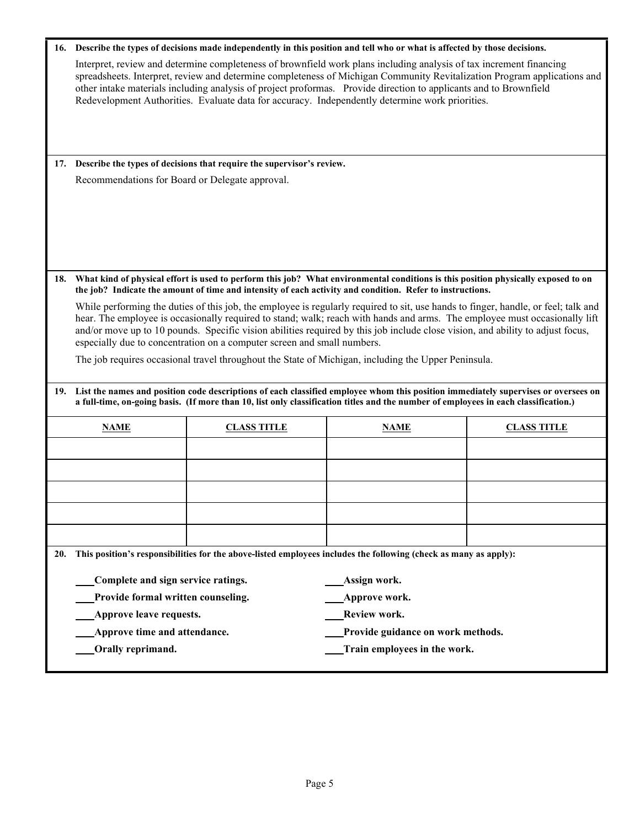|            | 16. Describe the types of decisions made independently in this position and tell who or what is affected by those decisions.                                                                                                                                                                                                                                                                                                                                                  |                    |                                                                                                                  |                                                                                                                                   |
|------------|-------------------------------------------------------------------------------------------------------------------------------------------------------------------------------------------------------------------------------------------------------------------------------------------------------------------------------------------------------------------------------------------------------------------------------------------------------------------------------|--------------------|------------------------------------------------------------------------------------------------------------------|-----------------------------------------------------------------------------------------------------------------------------------|
|            | Interpret, review and determine completeness of brownfield work plans including analysis of tax increment financing<br>spreadsheets. Interpret, review and determine completeness of Michigan Community Revitalization Program applications and<br>other intake materials including analysis of project proformas. Provide direction to applicants and to Brownfield<br>Redevelopment Authorities. Evaluate data for accuracy. Independently determine work priorities.       |                    |                                                                                                                  |                                                                                                                                   |
|            |                                                                                                                                                                                                                                                                                                                                                                                                                                                                               |                    |                                                                                                                  |                                                                                                                                   |
|            | 17. Describe the types of decisions that require the supervisor's review.<br>Recommendations for Board or Delegate approval.                                                                                                                                                                                                                                                                                                                                                  |                    |                                                                                                                  |                                                                                                                                   |
|            |                                                                                                                                                                                                                                                                                                                                                                                                                                                                               |                    |                                                                                                                  |                                                                                                                                   |
| 18.        |                                                                                                                                                                                                                                                                                                                                                                                                                                                                               |                    | the job? Indicate the amount of time and intensity of each activity and condition. Refer to instructions.        | What kind of physical effort is used to perform this job? What environmental conditions is this position physically exposed to on |
|            | While performing the duties of this job, the employee is regularly required to sit, use hands to finger, handle, or feel; talk and<br>hear. The employee is occasionally required to stand; walk; reach with hands and arms. The employee must occasionally lift<br>and/or move up to 10 pounds. Specific vision abilities required by this job include close vision, and ability to adjust focus,<br>especially due to concentration on a computer screen and small numbers. |                    |                                                                                                                  |                                                                                                                                   |
|            |                                                                                                                                                                                                                                                                                                                                                                                                                                                                               |                    | The job requires occasional travel throughout the State of Michigan, including the Upper Peninsula.              |                                                                                                                                   |
|            | 19. List the names and position code descriptions of each classified employee whom this position immediately supervises or oversees on<br>a full-time, on-going basis. (If more than 10, list only classification titles and the number of employees in each classification.)                                                                                                                                                                                                 |                    |                                                                                                                  |                                                                                                                                   |
|            | <b>NAME</b>                                                                                                                                                                                                                                                                                                                                                                                                                                                                   | <b>CLASS TITLE</b> | <b>NAME</b>                                                                                                      | <b>CLASS TITLE</b>                                                                                                                |
|            |                                                                                                                                                                                                                                                                                                                                                                                                                                                                               |                    |                                                                                                                  |                                                                                                                                   |
|            |                                                                                                                                                                                                                                                                                                                                                                                                                                                                               |                    |                                                                                                                  |                                                                                                                                   |
|            |                                                                                                                                                                                                                                                                                                                                                                                                                                                                               |                    |                                                                                                                  |                                                                                                                                   |
|            |                                                                                                                                                                                                                                                                                                                                                                                                                                                                               |                    |                                                                                                                  |                                                                                                                                   |
|            |                                                                                                                                                                                                                                                                                                                                                                                                                                                                               |                    |                                                                                                                  |                                                                                                                                   |
| <b>20.</b> |                                                                                                                                                                                                                                                                                                                                                                                                                                                                               |                    | This position's responsibilities for the above-listed employees includes the following (check as many as apply): |                                                                                                                                   |
|            | Complete and sign service ratings.                                                                                                                                                                                                                                                                                                                                                                                                                                            |                    | Assign work.                                                                                                     |                                                                                                                                   |
|            | Provide formal written counseling.                                                                                                                                                                                                                                                                                                                                                                                                                                            |                    | Approve work.                                                                                                    |                                                                                                                                   |
|            | Approve leave requests.                                                                                                                                                                                                                                                                                                                                                                                                                                                       |                    | Review work.                                                                                                     |                                                                                                                                   |
|            | Approve time and attendance.                                                                                                                                                                                                                                                                                                                                                                                                                                                  |                    | Provide guidance on work methods.                                                                                |                                                                                                                                   |
|            | Orally reprimand.                                                                                                                                                                                                                                                                                                                                                                                                                                                             |                    | Train employees in the work.                                                                                     |                                                                                                                                   |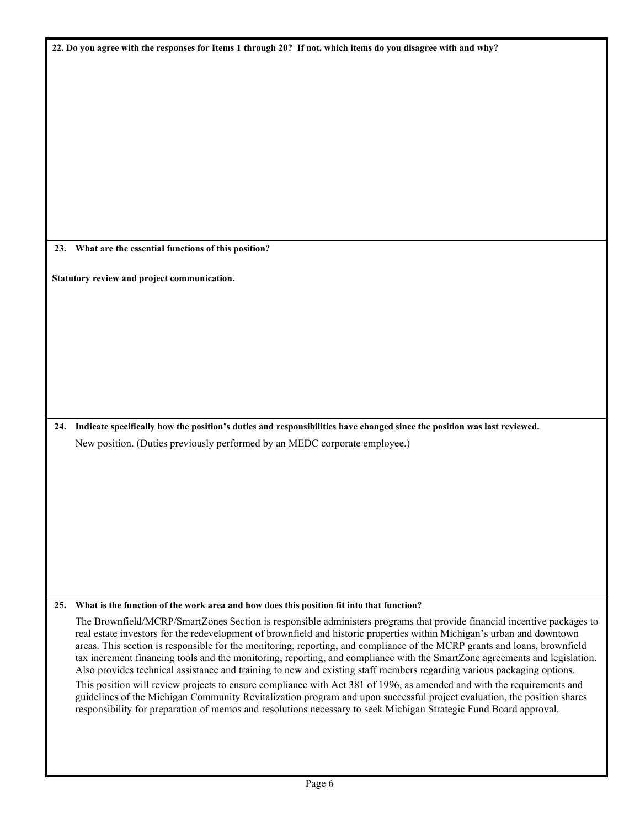| 22. Do you agree with the responses for Items 1 through 20? If not, which items do you disagree with and why? |                                                                                                                             |  |
|---------------------------------------------------------------------------------------------------------------|-----------------------------------------------------------------------------------------------------------------------------|--|
|                                                                                                               |                                                                                                                             |  |
|                                                                                                               |                                                                                                                             |  |
|                                                                                                               |                                                                                                                             |  |
|                                                                                                               |                                                                                                                             |  |
|                                                                                                               |                                                                                                                             |  |
|                                                                                                               |                                                                                                                             |  |
|                                                                                                               |                                                                                                                             |  |
|                                                                                                               |                                                                                                                             |  |
|                                                                                                               |                                                                                                                             |  |
|                                                                                                               |                                                                                                                             |  |
|                                                                                                               |                                                                                                                             |  |
|                                                                                                               |                                                                                                                             |  |
|                                                                                                               |                                                                                                                             |  |
|                                                                                                               |                                                                                                                             |  |
|                                                                                                               | 23. What are the essential functions of this position?                                                                      |  |
|                                                                                                               |                                                                                                                             |  |
|                                                                                                               | Statutory review and project communication.                                                                                 |  |
|                                                                                                               |                                                                                                                             |  |
|                                                                                                               |                                                                                                                             |  |
|                                                                                                               |                                                                                                                             |  |
|                                                                                                               |                                                                                                                             |  |
|                                                                                                               |                                                                                                                             |  |
|                                                                                                               |                                                                                                                             |  |
|                                                                                                               |                                                                                                                             |  |
|                                                                                                               |                                                                                                                             |  |
|                                                                                                               |                                                                                                                             |  |
|                                                                                                               |                                                                                                                             |  |
|                                                                                                               | 24. Indicate specifically how the position's duties and responsibilities have changed since the position was last reviewed. |  |
|                                                                                                               | New position. (Duties previously performed by an MEDC corporate employee.)                                                  |  |
|                                                                                                               |                                                                                                                             |  |
|                                                                                                               |                                                                                                                             |  |
|                                                                                                               |                                                                                                                             |  |
|                                                                                                               |                                                                                                                             |  |
|                                                                                                               |                                                                                                                             |  |
|                                                                                                               |                                                                                                                             |  |
|                                                                                                               |                                                                                                                             |  |
|                                                                                                               |                                                                                                                             |  |
|                                                                                                               |                                                                                                                             |  |
|                                                                                                               |                                                                                                                             |  |
|                                                                                                               |                                                                                                                             |  |
|                                                                                                               |                                                                                                                             |  |
| 25.                                                                                                           | What is the function of the work area and how does this position fit into that function?                                    |  |
|                                                                                                               | The Brownfield/MCRP/SmartZones Section is responsible administers programs that provide financial incentive packages to     |  |
|                                                                                                               | real estate investors for the redevelopment of brownfield and historic properties within Michigan's urban and downtown      |  |
|                                                                                                               | areas. This section is responsible for the monitoring, reporting, and compliance of the MCRP grants and loans, brownfield   |  |
|                                                                                                               | tax increment financing tools and the monitoring, reporting, and compliance with the SmartZone agreements and legislation.  |  |
|                                                                                                               | Also provides technical assistance and training to new and existing staff members regarding various packaging options.      |  |
|                                                                                                               | This position will review projects to ensure compliance with Act 381 of 1996, as amended and with the requirements and      |  |
|                                                                                                               | guidelines of the Michigan Community Revitalization program and upon successful project evaluation, the position shares     |  |
|                                                                                                               | responsibility for preparation of memos and resolutions necessary to seek Michigan Strategic Fund Board approval.           |  |
|                                                                                                               |                                                                                                                             |  |
|                                                                                                               |                                                                                                                             |  |
|                                                                                                               |                                                                                                                             |  |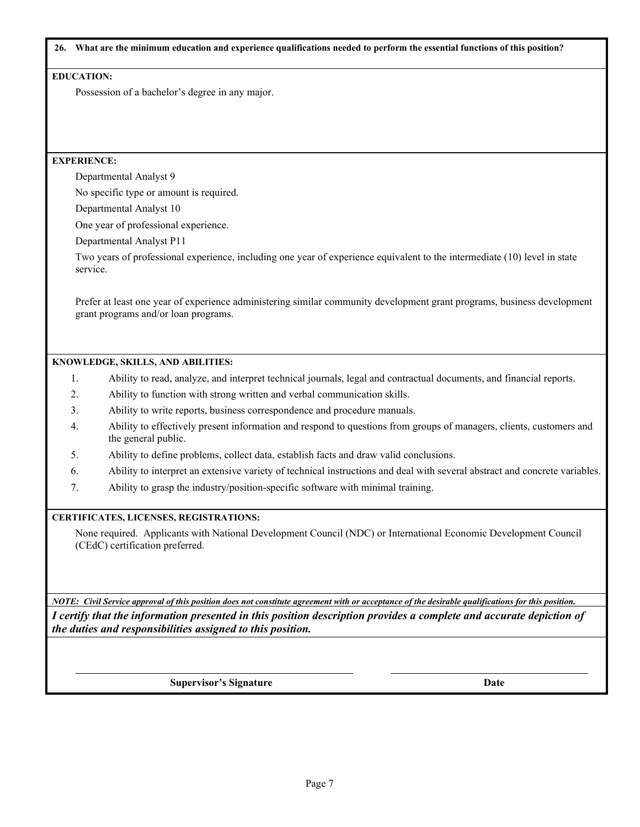**26. What are the minimum education and experience qualifications needed to perform the essential functions of this position?** 

#### **EDUCATION:**

Possession of a bachelor's degree in any major.

## **EXPERIENCE:**

Departmental Analyst 9

No specific type or amount is required.

Departmental Analyst 10

One year of professional experience.

Departmental Analyst P11

Two years of professional experience, including one year of experience equivalent to the intermediate (10) level in state service.

Prefer at least one year of experience administering similar community development grant programs, business development grant programs and/or loan programs.

### **KNOWLEDGE, SKILLS, AND ABILITIES:**

- 1. Ability to read, analyze, and interpret technical journals, legal and contractual documents, and financial reports.
- 2. Ability to function with strong written and verbal communication skills.
- 3. Ability to write reports, business correspondence and procedure manuals.
- 4. Ability to effectively present information and respond to questions from groups of managers, clients, customers and the general public.
- 5. Ability to define problems, collect data, establish facts and draw valid conclusions.
- 6. Ability to interpret an extensive variety of technical instructions and deal with several abstract and concrete variables.
- 7. Ability to grasp the industry/position-specific software with minimal training.

# **CERTIFICATES, LICENSES, REGISTRATIONS:**

None required. Applicants with National Development Council (NDC) or International Economic Development Council (CEdC) certification preferred.

*NOTE: Civil Service approval of this position does not constitute agreement with or acceptance of the desirable qualifications for this position. I certify that the information presented in this position description provides a complete and accurate depiction of the duties and responsibilities assigned to this position.*

l.

**Supervisor's Signature Date**